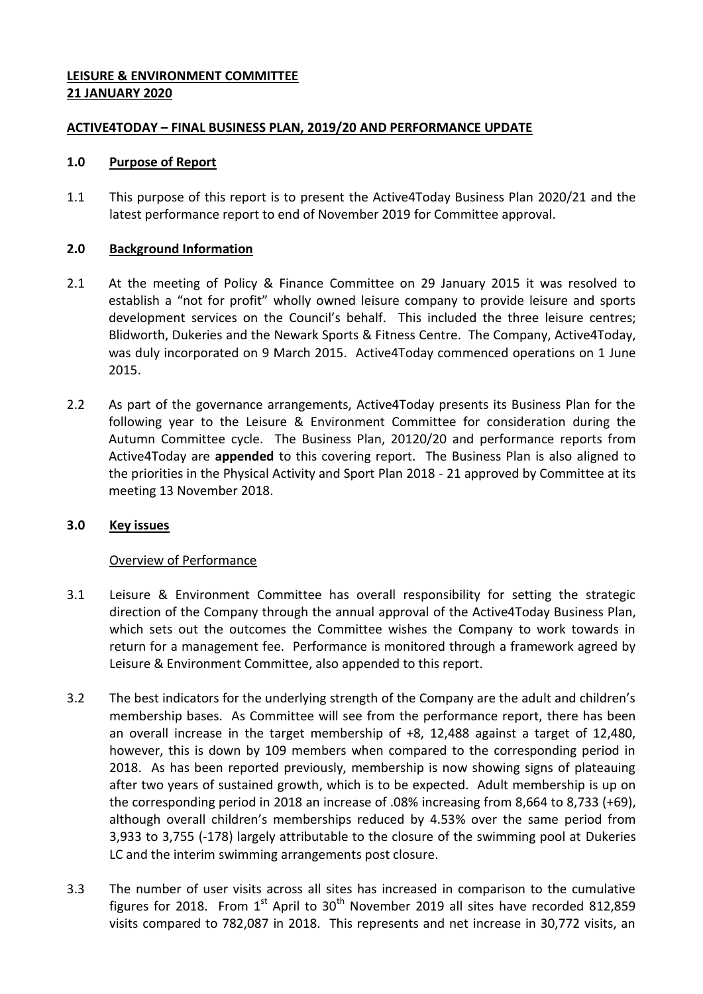## **LEISURE & ENVIRONMENT COMMITTEE 21 JANUARY 2020**

## **ACTIVE4TODAY – FINAL BUSINESS PLAN, 2019/20 AND PERFORMANCE UPDATE**

#### **1.0 Purpose of Report**

1.1 This purpose of this report is to present the Active4Today Business Plan 2020/21 and the latest performance report to end of November 2019 for Committee approval.

## **2.0 Background Information**

- 2.1 At the meeting of Policy & Finance Committee on 29 January 2015 it was resolved to establish a "not for profit" wholly owned leisure company to provide leisure and sports development services on the Council's behalf. This included the three leisure centres; Blidworth, Dukeries and the Newark Sports & Fitness Centre. The Company, Active4Today, was duly incorporated on 9 March 2015. Active4Today commenced operations on 1 June 2015.
- 2.2 As part of the governance arrangements, Active4Today presents its Business Plan for the following year to the Leisure & Environment Committee for consideration during the Autumn Committee cycle. The Business Plan, 20120/20 and performance reports from Active4Today are **appended** to this covering report. The Business Plan is also aligned to the priorities in the Physical Activity and Sport Plan 2018 - 21 approved by Committee at its meeting 13 November 2018.

## **3.0 Key issues**

#### Overview of Performance

- 3.1 Leisure & Environment Committee has overall responsibility for setting the strategic direction of the Company through the annual approval of the Active4Today Business Plan, which sets out the outcomes the Committee wishes the Company to work towards in return for a management fee. Performance is monitored through a framework agreed by Leisure & Environment Committee, also appended to this report.
- 3.2 The best indicators for the underlying strength of the Company are the adult and children's membership bases. As Committee will see from the performance report, there has been an overall increase in the target membership of +8, 12,488 against a target of 12,480, however, this is down by 109 members when compared to the corresponding period in 2018. As has been reported previously, membership is now showing signs of plateauing after two years of sustained growth, which is to be expected. Adult membership is up on the corresponding period in 2018 an increase of .08% increasing from 8,664 to 8,733 (+69), although overall children's memberships reduced by 4.53% over the same period from 3,933 to 3,755 (-178) largely attributable to the closure of the swimming pool at Dukeries LC and the interim swimming arrangements post closure.
- 3.3 The number of user visits across all sites has increased in comparison to the cumulative figures for 2018. From  $1<sup>st</sup>$  April to  $30<sup>th</sup>$  November 2019 all sites have recorded 812,859 visits compared to 782,087 in 2018. This represents and net increase in 30,772 visits, an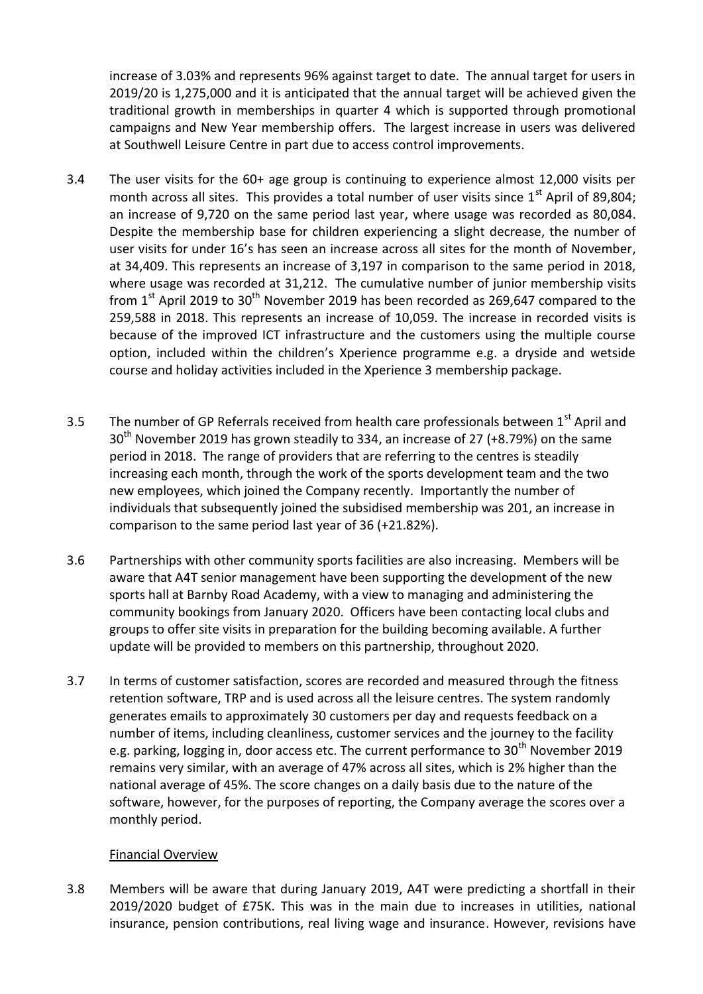increase of 3.03% and represents 96% against target to date. The annual target for users in 2019/20 is 1,275,000 and it is anticipated that the annual target will be achieved given the traditional growth in memberships in quarter 4 which is supported through promotional campaigns and New Year membership offers. The largest increase in users was delivered at Southwell Leisure Centre in part due to access control improvements.

- 3.4 The user visits for the 60+ age group is continuing to experience almost 12,000 visits per month across all sites. This provides a total number of user visits since  $1<sup>st</sup>$  April of 89,804; an increase of 9,720 on the same period last year, where usage was recorded as 80,084. Despite the membership base for children experiencing a slight decrease, the number of user visits for under 16's has seen an increase across all sites for the month of November, at 34,409. This represents an increase of 3,197 in comparison to the same period in 2018, where usage was recorded at 31,212. The cumulative number of junior membership visits from  $1<sup>st</sup>$  April 2019 to 30<sup>th</sup> November 2019 has been recorded as 269,647 compared to the 259,588 in 2018. This represents an increase of 10,059. The increase in recorded visits is because of the improved ICT infrastructure and the customers using the multiple course option, included within the children's Xperience programme e.g. a dryside and wetside course and holiday activities included in the Xperience 3 membership package.
- 3.5 The number of GP Referrals received from health care professionals between  $1<sup>st</sup>$  April and  $30<sup>th</sup>$  November 2019 has grown steadily to 334, an increase of 27 (+8.79%) on the same period in 2018. The range of providers that are referring to the centres is steadily increasing each month, through the work of the sports development team and the two new employees, which joined the Company recently. Importantly the number of individuals that subsequently joined the subsidised membership was 201, an increase in comparison to the same period last year of 36 (+21.82%).
- 3.6 Partnerships with other community sports facilities are also increasing. Members will be aware that A4T senior management have been supporting the development of the new sports hall at Barnby Road Academy, with a view to managing and administering the community bookings from January 2020. Officers have been contacting local clubs and groups to offer site visits in preparation for the building becoming available. A further update will be provided to members on this partnership, throughout 2020.
- 3.7 In terms of customer satisfaction, scores are recorded and measured through the fitness retention software, TRP and is used across all the leisure centres. The system randomly generates emails to approximately 30 customers per day and requests feedback on a number of items, including cleanliness, customer services and the journey to the facility e.g. parking, logging in, door access etc. The current performance to 30<sup>th</sup> November 2019 remains very similar, with an average of 47% across all sites, which is 2% higher than the national average of 45%. The score changes on a daily basis due to the nature of the software, however, for the purposes of reporting, the Company average the scores over a monthly period.

#### Financial Overview

3.8 Members will be aware that during January 2019, A4T were predicting a shortfall in their 2019/2020 budget of £75K. This was in the main due to increases in utilities, national insurance, pension contributions, real living wage and insurance. However, revisions have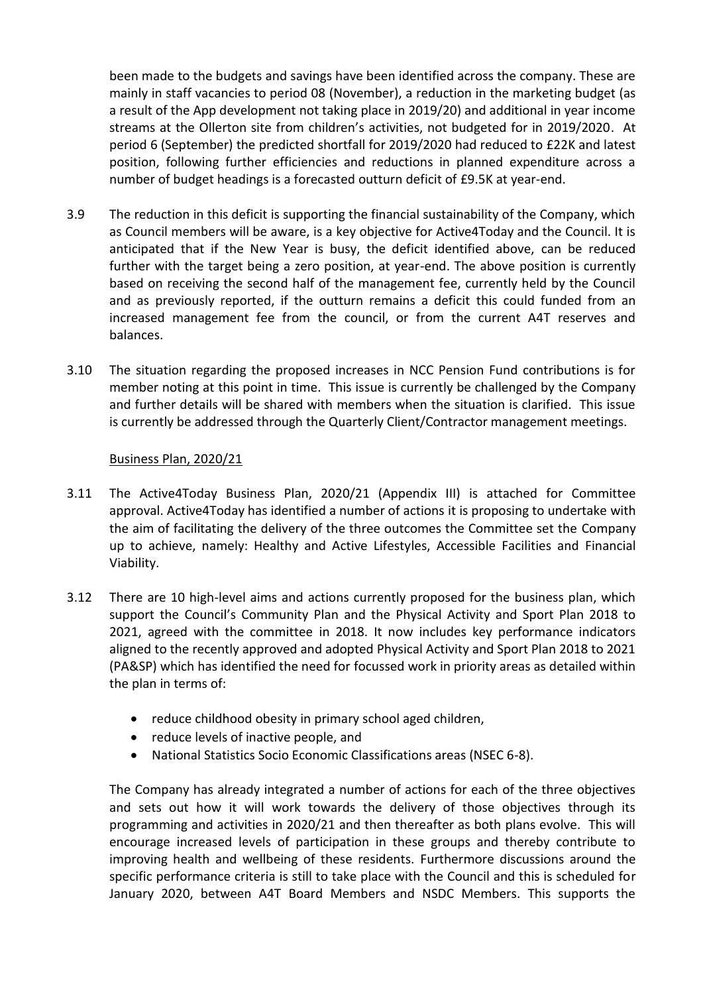been made to the budgets and savings have been identified across the company. These are mainly in staff vacancies to period 08 (November), a reduction in the marketing budget (as a result of the App development not taking place in 2019/20) and additional in year income streams at the Ollerton site from children's activities, not budgeted for in 2019/2020. At period 6 (September) the predicted shortfall for 2019/2020 had reduced to £22K and latest position, following further efficiencies and reductions in planned expenditure across a number of budget headings is a forecasted outturn deficit of £9.5K at year-end.

- 3.9 The reduction in this deficit is supporting the financial sustainability of the Company, which as Council members will be aware, is a key objective for Active4Today and the Council. It is anticipated that if the New Year is busy, the deficit identified above, can be reduced further with the target being a zero position, at year-end. The above position is currently based on receiving the second half of the management fee, currently held by the Council and as previously reported, if the outturn remains a deficit this could funded from an increased management fee from the council, or from the current A4T reserves and balances.
- 3.10 The situation regarding the proposed increases in NCC Pension Fund contributions is for member noting at this point in time. This issue is currently be challenged by the Company and further details will be shared with members when the situation is clarified. This issue is currently be addressed through the Quarterly Client/Contractor management meetings.

#### Business Plan, 2020/21

- 3.11 The Active4Today Business Plan, 2020/21 (Appendix III) is attached for Committee approval. Active4Today has identified a number of actions it is proposing to undertake with the aim of facilitating the delivery of the three outcomes the Committee set the Company up to achieve, namely: Healthy and Active Lifestyles, Accessible Facilities and Financial Viability.
- 3.12 There are 10 high-level aims and actions currently proposed for the business plan, which support the Council's Community Plan and the Physical Activity and Sport Plan 2018 to 2021, agreed with the committee in 2018. It now includes key performance indicators aligned to the recently approved and adopted Physical Activity and Sport Plan 2018 to 2021 (PA&SP) which has identified the need for focussed work in priority areas as detailed within the plan in terms of:
	- reduce childhood obesity in primary school aged children,
	- reduce levels of inactive people, and
	- National Statistics Socio Economic Classifications areas (NSEC 6-8).

The Company has already integrated a number of actions for each of the three objectives and sets out how it will work towards the delivery of those objectives through its programming and activities in 2020/21 and then thereafter as both plans evolve. This will encourage increased levels of participation in these groups and thereby contribute to improving health and wellbeing of these residents. Furthermore discussions around the specific performance criteria is still to take place with the Council and this is scheduled for January 2020, between A4T Board Members and NSDC Members. This supports the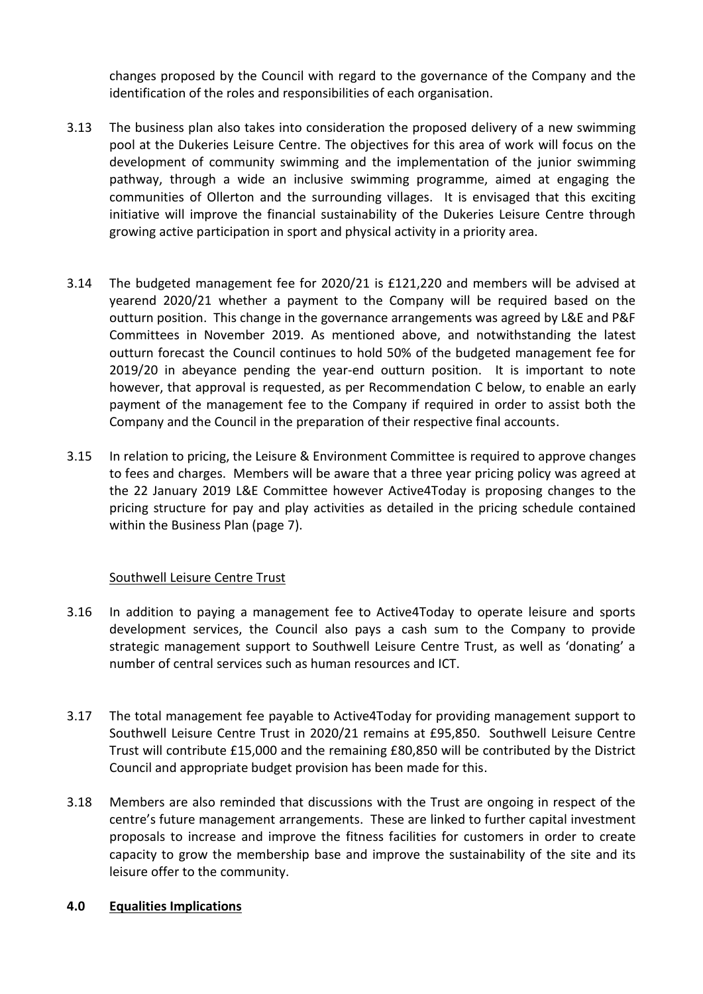changes proposed by the Council with regard to the governance of the Company and the identification of the roles and responsibilities of each organisation.

- 3.13 The business plan also takes into consideration the proposed delivery of a new swimming pool at the Dukeries Leisure Centre. The objectives for this area of work will focus on the development of community swimming and the implementation of the junior swimming pathway, through a wide an inclusive swimming programme, aimed at engaging the communities of Ollerton and the surrounding villages. It is envisaged that this exciting initiative will improve the financial sustainability of the Dukeries Leisure Centre through growing active participation in sport and physical activity in a priority area.
- 3.14 The budgeted management fee for 2020/21 is £121,220 and members will be advised at yearend 2020/21 whether a payment to the Company will be required based on the outturn position. This change in the governance arrangements was agreed by L&E and P&F Committees in November 2019. As mentioned above, and notwithstanding the latest outturn forecast the Council continues to hold 50% of the budgeted management fee for 2019/20 in abeyance pending the year-end outturn position. It is important to note however, that approval is requested, as per Recommendation C below, to enable an early payment of the management fee to the Company if required in order to assist both the Company and the Council in the preparation of their respective final accounts.
- 3.15 In relation to pricing, the Leisure & Environment Committee is required to approve changes to fees and charges. Members will be aware that a three year pricing policy was agreed at the 22 January 2019 L&E Committee however Active4Today is proposing changes to the pricing structure for pay and play activities as detailed in the pricing schedule contained within the Business Plan (page 7).

#### Southwell Leisure Centre Trust

- 3.16 In addition to paying a management fee to Active4Today to operate leisure and sports development services, the Council also pays a cash sum to the Company to provide strategic management support to Southwell Leisure Centre Trust, as well as 'donating' a number of central services such as human resources and ICT.
- 3.17 The total management fee payable to Active4Today for providing management support to Southwell Leisure Centre Trust in 2020/21 remains at £95,850. Southwell Leisure Centre Trust will contribute £15,000 and the remaining £80,850 will be contributed by the District Council and appropriate budget provision has been made for this.
- 3.18 Members are also reminded that discussions with the Trust are ongoing in respect of the centre's future management arrangements. These are linked to further capital investment proposals to increase and improve the fitness facilities for customers in order to create capacity to grow the membership base and improve the sustainability of the site and its leisure offer to the community.

#### **4.0 Equalities Implications**